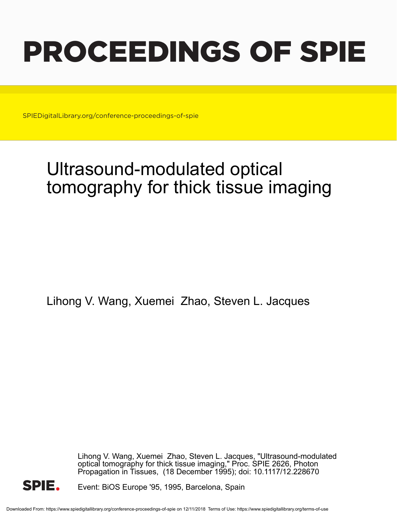# PROCEEDINGS OF SPIE

SPIEDigitalLibrary.org/conference-proceedings-of-spie

## Ultrasound-modulated optical tomography for thick tissue imaging

Lihong V. Wang, Xuemei Zhao, Steven L. Jacques

Lihong V. Wang, Xuemei Zhao, Steven L. Jacques, "Ultrasound-modulated optical tomography for thick tissue imaging," Proc. SPIE 2626, Photon Propagation in Tissues, (18 December 1995); doi: 10.1117/12.228670



Event: BiOS Europe '95, 1995, Barcelona, Spain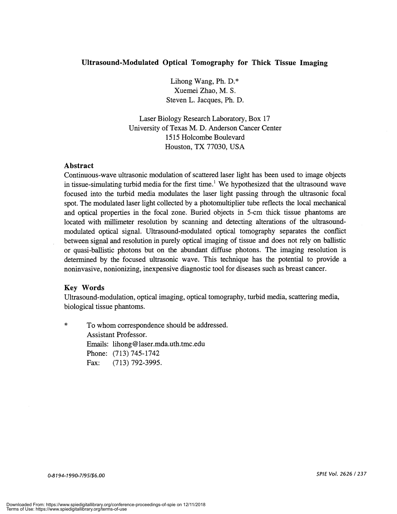#### Ultrasound-Modulated Optical Tomography for Thick Tissue Imaging

Lihong Wang, Ph. D.\* Xuemei Zhao, M. S. Steven L. Jacques, Ph. D.

Laser Biology Research Laboratory, Box 17 University of Texas M. D. Anderson Cancer Center 1515 Holcombe Boulevard Houston, TX 77030, USA

#### Abstract

Continuous-wave ultrasonic modulation of scattered laser light has been used to image objects in tissue-simulating turbid media for the first time.<sup>1</sup> We hypothesized that the ultrasound wave focused into the turbid media modulates the laser light passing through the ultrasonic focal spot. The modulated laser light collected by a photomultiplier tube reflects the local mechanical and optical properties in the focal zone. Buried objects in 5-cm thick tissue phantoms are located with millimeter resolution by scanning and detecting alterations of the ultrasoundmodulated optical signal. Ultrasound-modulated optical tomography separates the conflict between signal and resolution in purely optical imaging of tissue and does not rely on ballistic or quasi-ballistic photons but on the abundant diffuse photons. The imaging resolution is determined by the focused ultrasonic wave. This technique has the potential to provide a noninvasive, nonionizing, inexpensive diagnostic tool for diseases such as breast cancer.

#### Key Words

Ultrasound-modulation, optical imaging, optical tomography, turbid media, scattering media, biological tissue phantoms.

\* To whom correspondence should be addressed. Assistant Professor. Emails: lihong@laser.mda.uth.tmc.edu Phone: (713) 745-1742 Fax: (713) 792-3995.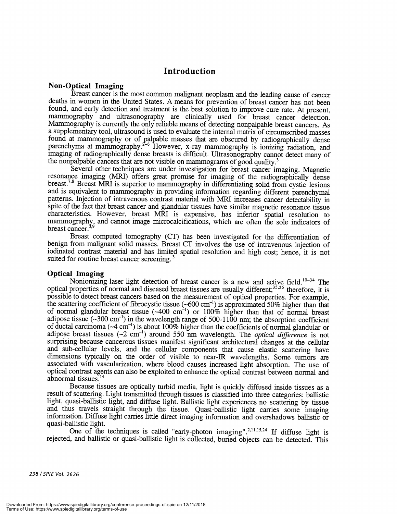## Introduction

Non-Optical Imaging<br>Breast cancer is the most common malignant neoplasm and the leading cause of cancer deaths in women in the United States. A means for prevention of breast cancer has not been found, and early detection and treatment is the best solution to improve cure rate. At present, mammography and ultrasonography are clinically used for breast cancer detection. Mammography is currently the only reliable means of detecting nonpalpable breast cancers. As a supplementary tool, ultrasound is used to evaluate the internal matrix of circumscribed masses found at mammography or of palpable masses that are obscured by radiographically dense parenchyma at mammography.  $z^{-6}$  However, x-ray mammography is ionizing radiation, and imaging of radiographically dense breasts is difficult. Ultrasonography cannot detect many of the nonpalpable cancers that are not visible on mammograms of good quality.<sup>3</sup>

Several other techniques are under investigation for breast cancer imaging. Magnetic resonance imaging (MRJ) offers great promise for imaging of the radiographically dense breast.<sup>7,8</sup> Breast MRI is superior to mammography in differentiating solid from cystic lesions and is equivalent to mammography in providing information regarding different parenchymal patterns. Injection of intravenous contrast material with MRI increases cancer detectability in spite of the fact that breast cancer and glandular tissues have similar magnetic resonance tissue characteristics. However, breast MRI is expensive, has inferior spatial resolution to mammography, and cannot image microcalcifications, which are often the sole indicators of breast cancer.<sup>3,9</sup>

Breast computed tomography (CT) has been investigated for the differentiation of benign from malignant solid masses. Breast CT involves the use of intravenous injection of iodinated contrast material and has limited spatial resolution and high cost; hence, it is not suited for routine breast cancer screening.<sup>3</sup>

Optical Imaging<br>Nonionizing laser light detection of breast cancer is a new and active field.<sup>10-34</sup> The optical properties of normal and diseased breast tissues are usually different;<sup>35,36</sup> therefore, it is possible to detect breast cancers based on the measurement of optical properties. For example, the scattering coefficient of fibrocystic tissue  $(-600 \text{ cm}^{-1})$  is approximated 50% higher than that of normal glandular breast tissue  $({\sim}400 \text{ cm}^{-1})$  or 100% higher than that of normal breast adipose tissue ( $\sim$ 300 cm<sup>-1</sup>) in the wavelength range of 500-1100 nm; the absorption coefficient of ductal carcinoma ( $-4$  cm<sup>-1</sup>) is about 100% higher than the coefficients of normal glandular or adipose breast tissues ( $\sim$ 2 cm<sup>-1</sup>) around 550 nm wavelength. The *optical difference* is not surprising because cancerous tissues manifest significant architectural changes at the cellular and sub-cellular levels, and the cellular components that cause elastic scattering have dimensions typically on the order of visible to near-IR wavelengths. Some tumors are associated with vascularization, where blood causes increased light absorption. The use of optical contrast agents can also be exploited to enhance the optical contrast between normal and abnormal tissues.<sup>1</sup>

Because tissues are optically turbid media, light is quickly diffused inside tissues as a result of scattering. Light transmitted through tissues is classified into three categories: ballistic and thus travels straight through the tissue. Quasi-ballistic light carries some imaging information. Diffuse light carries little direct imaging information and overshadows ballistic or quasi-ballistic light.

One of the techniques is called "early-photon imaging".<sup>2,11,15,24</sup> If diffuse light is rejected, and ballistic or quasi-ballistic light is collected, buried objects can be detected. This

238/SPIE Vol. 2626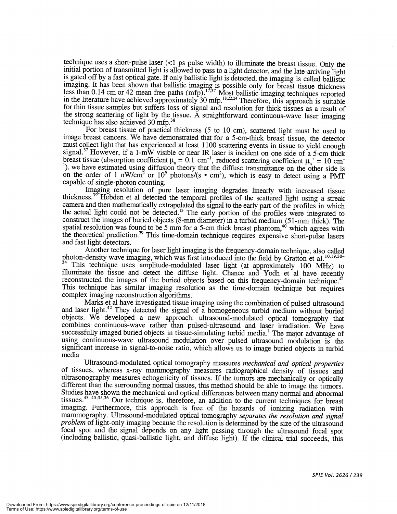technique uses a short-pulse laser (<1 ps pulse width) to illuminate the breast tissue. Only the initial portion of transmitted light is allowed to pass to a light detector, and the late-arriving light is gated off by a fast optical gate. If only ballistic light is detected, the imaging is called ballistic imaging. It has been shown that ballistic imaging is possible only for breast tissue thickness less than 0.14 cm or 42 mean free paths  $(mfp)$ .<sup>1737</sup> Most ballistic imaging techniques reported in the literature have achieved approximately 30 mfp.<sup>18,22,24</sup> Therefore, this approach is suitable for thin tissue samples but suffers loss of signal and resolution for thick tissues as a result of the strong scattering of light by the tissue. A straightforward continuous-wave laser imaging technique has also achieved 30 mfp.<sup>38</sup>

For breast tissue of practical thickness (5 to 10 cm), scattered light must be used to image breast cancers. We have demonstrated that for a 5-cm-thick breast tissue, the detector must collect light that has experienced at least 1 100 scattering events in tissue to yield enough signal.<sup>37</sup> However, if a 1-mW visible or near IR laser is incident on one side of a 5-cm thick breast tissue (absorption coefficient  $\mu_a = 0.1 \text{ cm}^{-1}$ , reduced scattering coefficient  $\mu_s' = 10 \text{ cm}^{-1}$ <sup>1</sup>), we have estimated using diffusion theory that the diffuse transmittance on the other side is on the order of 1 nW/cm<sup>2</sup> or  $10^9$  photons/(s • cm<sup>2</sup>), which is easy to detect using a PMT capable of single-photon counting.

Imaging resolution of pure laser imaging degrades linearly with increased tissue thickness.39 Hebden et al detected the temporal profiles of the scattered light using a streak camera and then mathematically extrapolated the signal to the early part of the profiles in which the actual light could not be detected.<sup>13</sup> The early portion of the profiles were integrated to construct the images of buried objects (8-mm diameter) in a turbid medium  $(51$ -mm thick). The spatial resolution was found to be 5 mm for a 5-cm thick breast phantom,<sup>40</sup> which agrees with the theoretical prediction.<sup>39</sup> This time-domain technique requires expensive short-pulse lasers and fast light detectors.<br>Another technique for laser light imaging is the frequency-domain technique, also called

Another technique for laser light imaging is the frequency-domain technique, also called photon-density wave imaging, which was first introduced into the field by Gratton et al.<sup>10,19,30-</sup><br><sup>34</sup> This technique uses amplitude-modulated laser light (at approximately 100 MHz) to <sup>34</sup> This technique uses amplitude-modulated laser light (at approximately 100 MHz) to illuminate the tissue and detect the diffuse light. Chance and Yodh et al have recently reconstructed the images of the buried objects This technique has similar imaging resolution as the time-domain technique but requires complex imaging reconstruction algorithms.

Marks et al have investigated tissue imaging using the combination of pulsed ultrasound and laser light.<sup>42</sup> They detected the signal of a homogeneous turbid medium without buried objects. We developed a new approach: ultrasound-modulated optical tomography that combines continuous-wave rather than pulsed-ultrasound and laser irradiation. We have successfully imaged buried objects in tissue-simulating turbid media.<sup>1</sup> The major advantage of using continuous-wave ultrasound modulation over pulsed ultrasound modulation is the significant increase in signal-to-noise ratio, which allows us to image buried objects in turbid media

Ultrasound-modulated optical tomography measures mechanical and optical properties of tissues, whereas x-ray mammography measures radiographical density of tissues and ultrasonography measures echogenicity of tissues. If the tumors are mechanically or optically different than the surrounding normal tissues, this method should be able to image the tumors. Studies have shown the mechanical and optical differences between many normal and abnormal tissues.<sup>43–45</sup>;35,36 Our technique is, therefore, an addition to the current techniques for breast imaging. Furthermore, this approach is free of the hazards of ionizing radiation with mammography. Ultrasound-modulated optical tomography separates the resolution and signal problem of light-only imaging because the resolution is determined by the size of the ultrasound focal spot and the signal depends on any light passing through the ultrasound focal spot (including ballistic, quasi-ballistic light, and diffuse light). If the clinical trial succeeds, this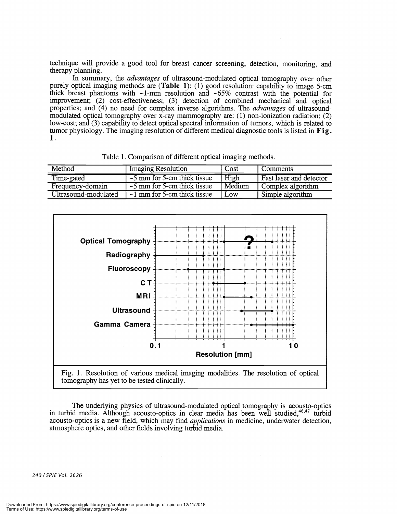technique will provide a good tool for breast cancer screening, detection, monitoring, and

In summary, the *advantages* of ultrasound-modulated optical tomography over other purely optical imaging methods are (Table 1): (1) good resolution: capability to image 5-cm thick breast phantoms with  $\sim$ 1-mm resolution and  $\sim$ 65% contrast with the potential for improvement; (2) cost-effectiveness; (3) detection of combined mechanical and optical properties; and (4) no need for complex inverse algorithms. The *advantages* of ultrasoundmodulated optical tomography over x-ray mammography are:  $(1)$  non-ionization radiation;  $(2)$ low-cost; and (3) capability to detect optical spectral information of tumors, which is related to tumor physiology. The imaging resolution of different medical diagnostic tools is listed in  $\mathbf{Fig.}$ 1.

| Method               | <b>Imaging Resolution</b>                | Cost   | Comments                |
|----------------------|------------------------------------------|--------|-------------------------|
| Time-gated           | $\overline{-5}$ mm for 5-cm thick tissue | High   | Fast laser and detector |
| Frequency-domain     | $\sim$ 5 mm for 5-cm thick tissue        | Medium | Complex algorithm       |
| Ultrasound-modulated | $\sim$ 1 mm for 5-cm thick tissue        | Low    | Simple algorithm        |

Table 1. Comparison of different optical imaging methods.



The underlying physics of ultrasound-modulated optical tomography is acousto-optics in turbid media. Although acousto-optics in clear media has been well studied,  $46.47$  turbid acousto-optics is a new field, which may find applications in medicine, underwater detection, atmosphere optics, and other fields involving turbid media.

240 1 SP!E Vol. 2626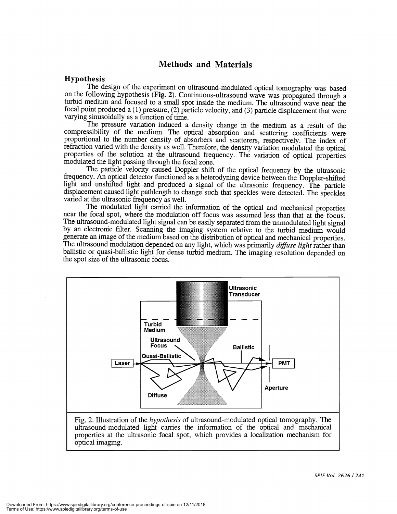## Methods and Materials

#### Hypothesis

The design of the experiment on ultrasound-modulated optical tomography was based on the following hypothesis (Fig. 2). Continuous-ultrasound wave was propagated through a turbid medium and focused to a small spot inside the medium. The ultrasound wave near the focal point produced a (1) pressure, (2) particle velocity, and (3) particle displacement that were varying sinusoidally as a function of time.

The pressure variation induced a density change in the medium as a result of the compressibility of the medium. The optical absorption and scattering coefficients were proportional to the number density of absorbers and scatterers, respectively. The index of refraction varied with the density as well. Therefore, the density variation modulated the optical properties of the solution at the ultrasound frequency. The variation of optical properties modulated the light passing through the focal zone.

The particle velocity caused Doppler shift of the optical frequency by the ultrasonic frequency. An optical detector functioned as a heterodyning device between the Doppler-shifted light and unshifted light and produced a signal of the ultrasonic frequency. The particle displacement caused light pathlength to change such that speckles were detected. The speckles varied at the ultrasonic frequency as well.

The modulated light carried the information of the optical and mechanical properties near the focal spot, where the modulation off focus was assumed less than that at the focus. The ultrasound-modulated light signal can be easily separated from the unmodulated light signal by an electronic filter. Scanning the imaging system relative to the turbid medium would generate an image of the medium based on the distribution of optical and mechanical properties. The ultrasound modulation depended on any light, which was primarily *diffuse light* rather than ballistic or quasi-ballistic light for dense turbid medium. The imaging resolution depended on the spot size of the ultrasonic focus.



ultrasound-modulated light carries the information of the optical and mechanical properties at the ultrasonic focal spot, which provides a localization mechanism for optical imaging.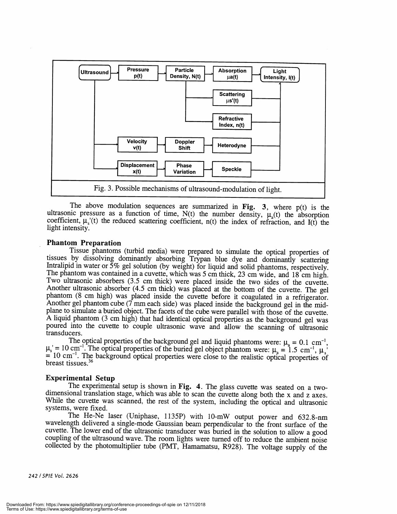

The above modulation sequences are summarized in Fig. 3, where p(t) is the ultrasonic pressure as a function of time, N(t) the number density,  $\mu_n(t)$  the absorption coefficient,  $\mu$ <sup>'</sup>(t) the reduced scattering coefficient, n(t) the index of refraction, and I(t) the light intensity.

#### Phantom Preparation

Tissue phantoms (turbid media) were prepared to simulate the optical properties of tissues by dissolving dominantly absorbing Trypan blue dye and dominantly scattering Intralipid in water or 5% gel solution (by weight) for liquid and solid phantoms, respectively. The phantom was contained in a cuvette, which was 5 cm thick, 23 cm wide, and 18 cm high.<br>Two ultrasonic absorbers (3.5 cm thick) were placed inside the two sides of the cuvette.<br>Another ultrasonic absorber (4.5 cm thick) phantom (8 cm high) was placed inside the cuvette before it coagulated in a refrigerator. Another gel phantom cube  $(\bar{7}$  mm each side) was placed inside the background gel in the midplane to simulate a buried object. The facets of the cube were parallel with those of the cuvette.<br>A liquid phantom (3 cm high) that had identical optical properties as the background gel was poured into the cuvette to couple ultrasonic wave and allow the scanning of ultrasonic transducers.

The optical properties of the background gel and liquid phantoms were:  $\mu_a = 0.1 \text{ cm}^{-1}$ ,  $\mu_s' = 10 \text{ cm}^{-1}$ . The optical properties of the buried gel object phantom were:  $\mu_a = 1.5 \text{ cm}^{-1}$ ,  $\mu_s'$  $\frac{1}{100}$  cm<sup>-1</sup>. The background optical properties were close to the realistic optical properties of breast tissues.<sup>36</sup>

Experimental Setup<br>The experimental setup is shown in Fig. 4. The glass cuvette was seated on a two-<br>dimensional translation stage, which was able to scan the cuvette along both the x and z axes. While the cuvette was scanned, the rest of the system, including the optical and ultrasonic systems, were fixed.

The He-Ne laser (Uniphase, 1135P) with 10-mW output power and 632.8-nm wavelength delivered a single-mode Gaussian beam perpendicular to the front surface of the cuvette. The lower end of the ultrasonic transducer was buried in the solution to allow a good coupling of the ultrasound wave. The room lights were turned off to reduce the ambient noise collected by the photomultiplier tube (PMT, Hamamatsu, R928). The voltage supply of the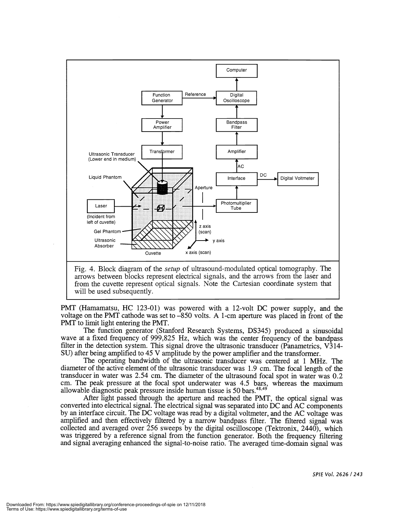

arrows between blocks represent electrical signals, and the arrows from the laser and from the cuvette represent optical signals. Note the Cartesian coordinate system that will be used subsequently.

PMT (Hamamatsu, HC 123-01) was powered with a 12-volt DC power supply, and the voltage on the PMT cathode was set to —850 volts. A 1-cm aperture was placed in front of the PMT to limit light entering the PMT.<br>The function generator (Stanford Research Systems, DS345) produced a sinusoidal

wave at a fixed frequency of 999,825 Hz, which was the center frequency of the bandpass filter in the detection system. This signal drove the ultrasonic transducer (Panametrics, V3 14- SU) after being amplified to 45 V amplitude by the power amplifier and the transformer.

The operating bandwidth of the ultrasonic transducer was centered at 1 MHz. The diameter of the active element of the ultrasonic transducer was 1 .9 cm. The focal length of the transducer in water was 2.54 cm. The diameter of the ultrasound focal spot in water was 0.2 cm. The peak pressure at the focal spot underwater was 4.5 bars, whereas the maximum allowable diagnostic peak pressure inside human tissue is 50 bars.<sup>48,49</sup>

After light passed through the aperture and reached the PMT, the optical signal was converted into electrical signal. The electrical signal was separated into DC and AC components by an interface circuit. The DC voltage was read by a digital voltmeter, and the AC voltage was amplified and then effectively filtered by a narrow bandpass filter. The filtered signal was collected and averaged over 256 sweeps by the digital oscilloscope (Tektronix, 2440), which was triggered by a reference signal from the function generator. Both the frequency filtering and signal averaging enhanced the signal-to-noise ratio. The averaged time-domain signal was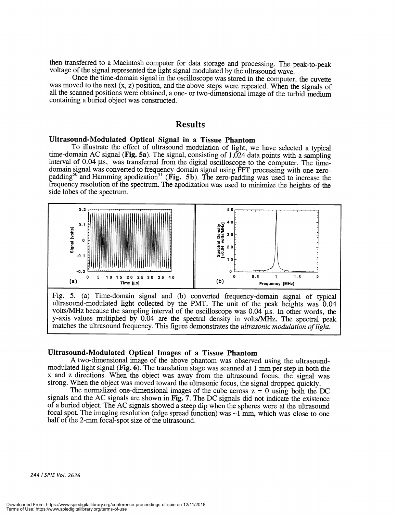then transferred to a Macintosh computer for data storage and processing. The peak-to-peak voltage of the signal represented the light signal modulated by the ultrasound wave.

Once the time-domain signal in the oscilloscope was stored in the computer, the cuvette was moved to the next  $(x, z)$  position, and the above steps were repeated. When the signals of all the scanned positions were obtained, a one- or two-dimensional image of the turbid medium containing a buried object was constructed.

#### Results

#### Ultrasound-Modulated Optical Signal in a Tissue Phantom

To illustrate the effect of ultrasound modulation of light, we have selected a typical time-domain AC signal (Fig. 5a). The signal, consisting of  $1,024$  data points with a sampling interval of  $0.04 \mu s$ , was transferred from the digital oscilloscope to the computer. The timedomain signal was converted to frequency-domain signal using FFT processing with one zeropadding<sup>50</sup> and Hamming apodization<sup>51</sup> (Fig. 5b). The zero-padding was used to increase the frequency resolution of the spectrum. The apodization was used to minimize the heights of the side lobes of the spectrum.



Fig. 5. (a) Time-domain signal and (b) converted frequency-domain signal of typical ultrasound-modulated light collected by the PMT. The unit of the peak heights was 0.04 volts/MHz because the sampling interval of the oscilloscope was 0.04  $\mu$ s. In other words, the y-axis values multiplied by 0.04 are the spectral density in volts/MHz. The spectral peak matches the ultrasound frequency. This figure demonstrates the ultrasonic modulation of light.

#### Ultrasound-Modulated Optical Images of a Tissue Phantom

A two-dimensional image of the above phantom was observed using the ultrasound-<br>modulated light signal (Fig. 6). The translation stage was scanned at 1 mm per step in both the x and z directions. When the object was away from the ultrasound focus, the signal was strong. When the object was moved toward the ultrasonic focus, the signal dropped quickly.

The normalized one-dimensional images of the cube across  $z = 0$  using both the DC signals and the AC signals are shown in Fig. 7. The DC signals did not indicate the existence of a buried object. The AC signals showed a steep dip when the spheres were at the ultrasound focal spot. The imaging resolution (edge spread function) was  $\sim 1$  mm, which was close to one half of the 2-mm focal-spot size of the ultrasound.

<sup>244</sup> /SPIE Vol. 2626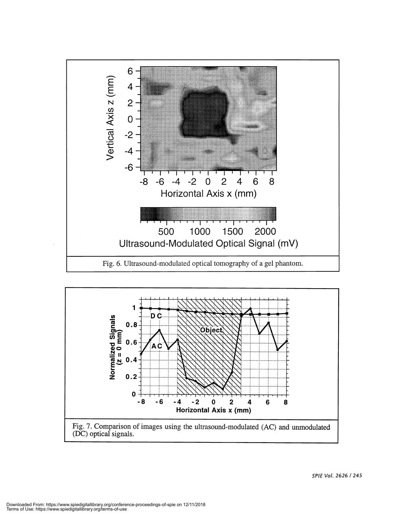



Fig. 7. Comparison of images using the ultrasound-modulated (AC) and unmodulated (DC) optical signals.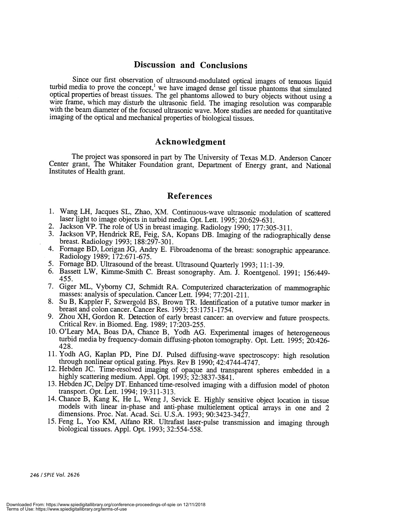### Discussion and Conclusions

Since our first observation of ultrasound-modulated optical images of tenuous liquid turbid media to prove the concept,<sup>1</sup> we have imaged dense gel tissue phantoms that simulated optical properties of breast tissues. The gel phantoms allowed to bury objects without using a wire frame, which may disturb the ultrasonic field. The imaging resolution was comparable with the beam diameter of the focused ultrasonic wave. More studies are needed for quantitative imaging of the optical and mechanical properties of biological tissues.

#### Acknowledgment

The project was sponsored in part by The University of Texas M.D. Anderson Cancer Center grant, The Whitaker Foundation grant, Department of Energy grant, and National Institutes of Health grant.

#### References

- 1. Wang LH, Jacques SL, Zhao, XM. Continuous-wave ultrasonic modulation of scattered laser light to image objects in turbid media. Opt. Lett. 1995; 20:629-631.
- 2. Jackson VP. The role of US in breast imaging. Radiology 1990; 177:305-311.
- 3. Jackson VP, Hendrick RE, Feig, SA, Kopans DB. Imaging of the radiographically dense breast. Radiology 1993; 188:297-301.
- 4. Fomage BD, Lorigan JG, Andry E. Fibroadenoma of the breast: sonographic appearance. Radiology 1989; 172:671-675.
- 5. Fornage BD. Ultrasound of the breast. Ultrasound Quarterly 1993; 11:1-39.
- 6. Bassett LW, Kimme-Smith C. Breast sonography. Am. J. Roentgenol. 1991; 156:449- 455.
- 7. Giger ML, Vyborny CJ, Schmidt RA. Computerized characterization of mammographic masses: analysis of speculation. Cancer Lett. 1994; 77:201-211.
- 8. Su B, Kappler F, Szwergold BS, Brown TR. Identification of a putative tumor marker in breast and colon cancer. Cancer Res. 1993; 53: 175 1-1754.
- 9. Zhou XH, Gordon R. Detection of early breast cancer: an overview and future prospects. Critical Rev. in Biomed. Eng. 1989; 17:203-255.
- 10. O'Leary MA, Boas DA, Chance B, Yodh AG. Experimental images of heterogeneous turbid media by frequency-domain diffusing-photon tomography. Opt. Lett. 1995; 20:426- 428.
- 11. Yodh AG, Kaplan PD, Pine DJ. Pulsed diffusing-wave spectroscopy: high resolution through nonlinear optical gating. Phys. Rev B 1990; 42:4744-4747.
- 12. Hebden JC. Time-resolved imaging of opaque and transparent spheres embedded in a highly scattering medium. Appl. Opt. 1993; 32:3837-3841.
- 13. Hebden JC, Delpy DT. Enhanced time-resolved imaging with a diffusion model of photon transport. Opt. Lett. 1994; 19:311-313.
- 14. Chance B, Kang K, He L, Weng J, Sevick E. Highly sensitive object location in tissue models with linear in-phase and anti-phase multielement optical arrays in one and 2 dimensions. Proc. Nat. Acad. Sci. U.S.A. 1993; 90:3423-3427.
- 15. Feng L, Yoo KM. Alfano RR. Ultrafast laser-pulse transmission and imaging through biological tissues. Appi. Opt. 1993; 32:554-558.

246 / SPIE Vol. 2626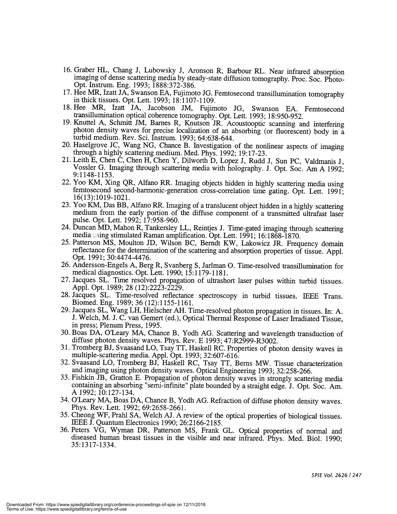- 16. Graber HL, Chang J, Lubowsky J, Aronson R, Barbour RL. Near infrared absorption imaging of dense scattering media by steady-state diffusion tomography. Proc. Soc. Photo-Opt. Instrum. Eng. 1993; 1888:372-386.
- 17. Hee MR, Izatt JA, Swanson EA, Fujimoto JG. Femtosecond transillumination tomography in thick tissues. Opt. Lett. 1993; 18:1107-1109.
- 18. Hee MR, Izatt JA, Jacobson JM, Fujimoto JG, Swanson EA. Femtosecond transillumination optical coherence tomography. Opt. Lett. 1993; 18:950-952.
- 19. Knuttel A, Schmitt JM, Barnes R, Knutson JR. Acoustooptic scanning and interfering photon density waves for precise localization of an absorbing (or fluorescent) body in a turbid medium. Rev. Sci. Instrum. 1993; 64:638-644.
- 20. Haselgrove JC, Wang NG, Chance B. Investigation of the nonlinear aspects of imaging through a highly scattering medium. Med. Phys. 1992; 19:17-23.
- 21. Leith E, Chen C, Chen H, Chen Y, Dilworth D, Lopez J, Rudd J, Sun PC, Valdmanis J, Vossler G. Imaging through scattering media with holography. J. Opt. Soc. Am A 1992; 9:1148-1153.
- 22. Yoo KM, Xing QR, Alfano RR. Imaging objects hidden in highly scattering media using femtosecond second-harmonic-generation cross-correlation time gating. Opt. Lett. 1991; 16(13):1019-1021.
- 23. Yoo KM, Das BB, Alfano RR. Imaging of a translucent object hidden in a highly scattering medium from the early portion of the diffuse component of a transmitted ultrafast laser pulse. Opt. Lett. 1992; 17:958-960.
- 24. Duncan MD, Mahon R, Tankersley LL, Reinties J. Time-gated imaging through scattering media using stimulated Raman amplification. Opt. Lett. 1991; 16:1868-1870.
- 25. Patterson MS, Moulton JD, Wilson BC, Berndt KW, Lakowicz JR. Frequency domain reflectance for the determination of the scattering and absorption properties of tissue. Appl. Opt. 1991; 30:4474-4476.
- 26. Andersson-Engels A, Berg R, Svanberg S, Jarlman O. Time-resolved transillumination for medical diagnostics. Opt. Lett. 1990; 15:1179-1181.
- 27. Jacques SL. Time resolved propagation of ultrashort laser pulses within turbid tissues. Appl. Opt. 1989; 28 (12):2223-2229.
- 28. Jacques SL. Time-resolved reflectance spectroscopy in turbid tissues. IEEE Trans. Biomed. Eng. 1989; 36 (12):1155-1161.
- 29. Jacques SL, Wang LH, Hielscher AH. Time-resolved photon propagation in tissues. In: A. J. Welch, M. J. C. van Gemert (ed.), Optical Thermal Response of Laser Irradiated Tissue, in press; Plenum Press, 1995.
- 30. Boas DA, O'Leary MA, Chance B, Yodh AG. Scattering and wavelength transduction of diffuse photon density waves. Phys. Rev. E 1993; 47:R2999-R3002.
- 31. Tromberg BJ, Svaasand LO, Tsay TT, Haskell RC. Properties of photon density waves in multiple-scattering media. Appl. Opt. 1993; 32:607-616.
- 32. Svaasand LO, Tromberg BJ, Haskell RC, Tsay TT, Berns MW. Tissue characterization and imaging using photon density waves. Optical Engineering 1993; 32:258-266.
- 33. Fishkin JB, Gratton E. Propagation of photon density waves in strongly scattering media containing an absorbing "semi-infinite" plate bounded by a straight edge. J. Opt. Soc. Am. A 1992; 10:127-134.
- 34. O'Leary MA, Boas DA, Chance B, Yodh AG. Refraction of diffuse photon density waves. Phys. Rev. Lett. 1992; 69:2658-2661.
- 35. Cheong WF, Prahl SA, Welch AJ. A review of the optical properties of biological tissues. IEEE J. Quantum Electronics 1990; 26:2166-2185.
- 36. Peters VG, Wyman DR, Patterson MS, Frank GL. Optical properties of normal and diseased human breast tissues in the visible and near infrared. Phys. Med. Biol. 1990; 35:1317-1334.